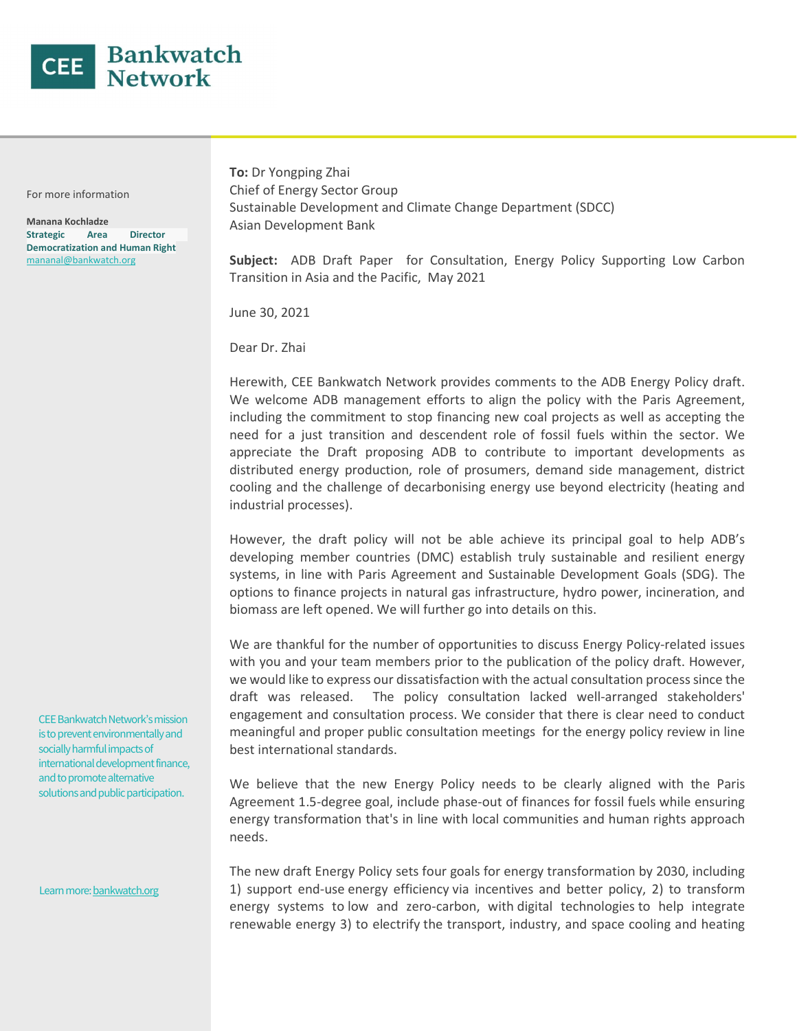

For more information

Manana Kochladze Strategic Area Director Democratization and Human Right mananal@bankwatch.org

To: Dr Yongping Zhai Chief of Energy Sector Group Sustainable Development and Climate Change Department (SDCC) Asian Development Bank

Subject: ADB Draft Paper for Consultation, Energy Policy Supporting Low Carbon Transition in Asia and the Pacific, May 2021

June 30, 2021

Dear Dr. Zhai

Herewith, CEE Bankwatch Network provides comments to the ADB Energy Policy draft. We welcome ADB management efforts to align the policy with the Paris Agreement, including the commitment to stop financing new coal projects as well as accepting the need for a just transition and descendent role of fossil fuels within the sector. We appreciate the Draft proposing ADB to contribute to important developments as distributed energy production, role of prosumers, demand side management, district cooling and the challenge of decarbonising energy use beyond electricity (heating and industrial processes).

However, the draft policy will not be able achieve its principal goal to help ADB's developing member countries (DMC) establish truly sustainable and resilient energy systems, in line with Paris Agreement and Sustainable Development Goals (SDG). The options to finance projects in natural gas infrastructure, hydro power, incineration, and biomass are left opened. We will further go into details on this.

We are thankful for the number of opportunities to discuss Energy Policy-related issues with you and your team members prior to the publication of the policy draft. However, we would like to express our dissatisfaction with the actual consultation process since the draft was released. The policy consultation lacked well-arranged stakeholders' engagement and consultation process. We consider that there is clear need to conduct meaningful and proper public consultation meetings for the energy policy review in line best international standards.

We believe that the new Energy Policy needs to be clearly aligned with the Paris Agreement 1.5-degree goal, include phase-out of finances for fossil fuels while ensuring energy transformation that's in line with local communities and human rights approach needs.

The new draft Energy Policy sets four goals for energy transformation by 2030, including 1) support end-use energy efficiency via incentives and better policy, 2) to transform energy systems to low and zero-carbon, with digital technologies to help integrate renewable energy 3) to electrify the transport, industry, and space cooling and heating

CEE Bankwatch Network's mission is to prevent environmentally and socially harmful impacts of international development finance, and to promote alternative solutions and public participation.

Learn more: bankwatch.org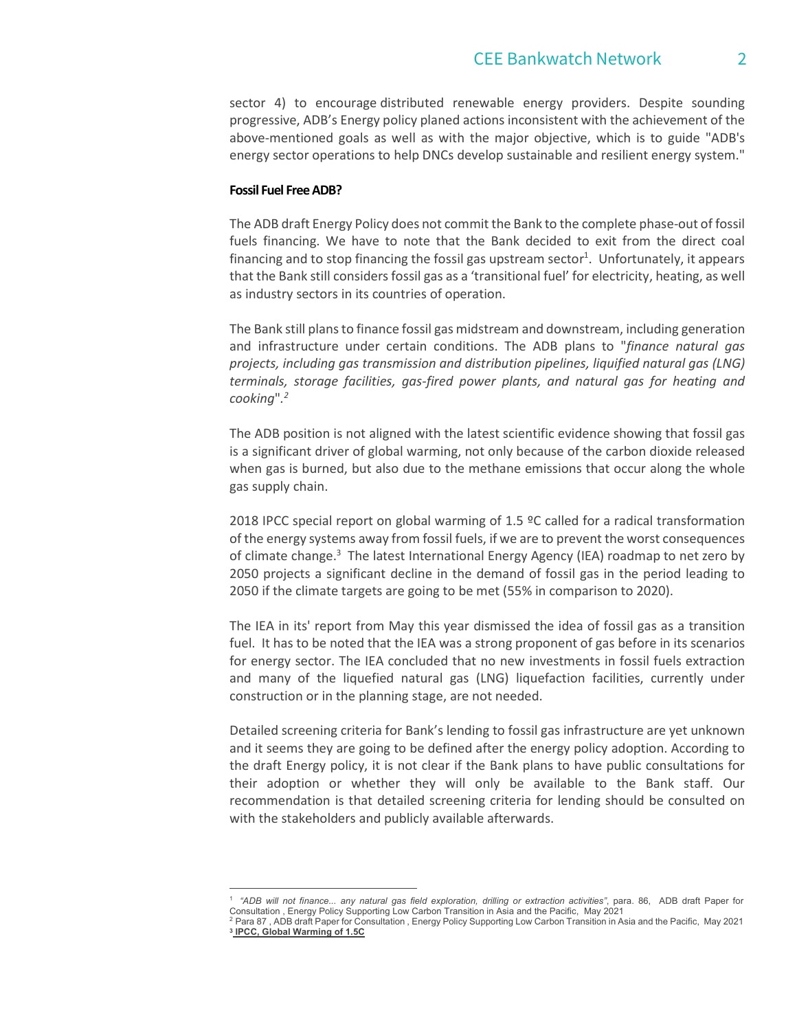sector 4) to encourage distributed renewable energy providers. Despite sounding progressive, ADB's Energy policy planed actions inconsistent with the achievement of the above-mentioned goals as well as with the major objective, which is to guide "ADB's energy sector operations to help DNCs develop sustainable and resilient energy system."

#### Fossil Fuel Free ADB?

The ADB draft Energy Policy does not commit the Bank to the complete phase-out of fossil fuels financing. We have to note that the Bank decided to exit from the direct coal financing and to stop financing the fossil gas upstream sector<sup>1</sup>. Unfortunately, it appears that the Bank still considers fossil gas as a 'transitional fuel' for electricity, heating, as well as industry sectors in its countries of operation.

The Bank still plans to finance fossil gas midstream and downstream, including generation and infrastructure under certain conditions. The ADB plans to "finance natural gas projects, including gas transmission and distribution pipelines, liquified natural gas (LNG) terminals, storage facilities, gas-fired power plants, and natural gas for heating and cooking".2

The ADB position is not aligned with the latest scientific evidence showing that fossil gas is a significant driver of global warming, not only because of the carbon dioxide released when gas is burned, but also due to the methane emissions that occur along the whole gas supply chain.

2018 IPCC special report on global warming of 1.5 ºC called for a radical transformation of the energy systems away from fossil fuels, if we are to prevent the worst consequences of climate change.<sup>3</sup> The latest International Energy Agency (IEA) roadmap to net zero by 2050 projects a significant decline in the demand of fossil gas in the period leading to 2050 if the climate targets are going to be met (55% in comparison to 2020).

The IEA in its' report from May this year dismissed the idea of fossil gas as a transition fuel. It has to be noted that the IEA was a strong proponent of gas before in its scenarios for energy sector. The IEA concluded that no new investments in fossil fuels extraction and many of the liquefied natural gas (LNG) liquefaction facilities, currently under construction or in the planning stage, are not needed.

Detailed screening criteria for Bank's lending to fossil gas infrastructure are yet unknown and it seems they are going to be defined after the energy policy adoption. According to the draft Energy policy, it is not clear if the Bank plans to have public consultations for their adoption or whether they will only be available to the Bank staff. Our recommendation is that detailed screening criteria for lending should be consulted on with the stakeholders and publicly available afterwards.

<sup>1</sup> "ADB will not finance... any natural gas field exploration, drilling or extraction activities", para. 86, ADB draft Paper for Consultation , Energy Policy Supporting Low Carbon Transition in Asia and the Pacific, May 2021<br><sup>2</sup> Para 87 , ADB draft Paper for Consultation , Energy Policy Supporting Low Carbon Transition in Asia and the Pacific, May 2

<sup>3</sup> IPCC, Global Warming of 1.5C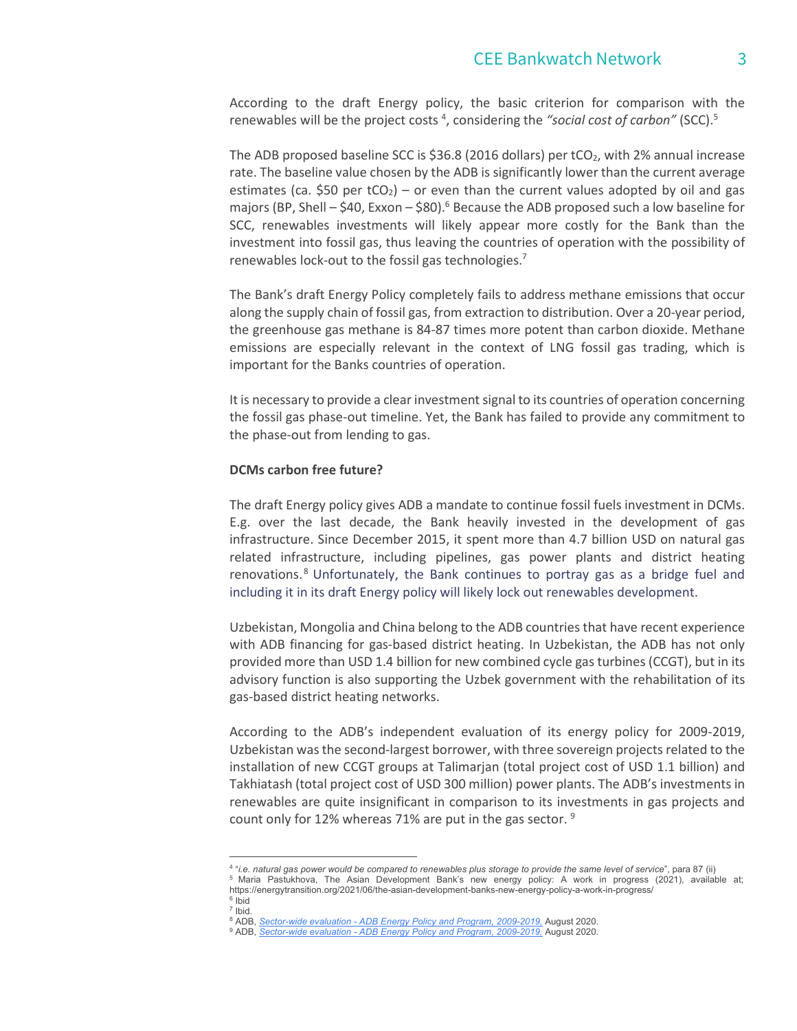# CEE Bankwatch Network 3

According to the draft Energy policy, the basic criterion for comparison with the renewables will be the project costs <sup>4</sup>, considering the "social cost of carbon" (SCC).<sup>5</sup>

The ADB proposed baseline SCC is \$36.8 (2016 dollars) per  $tCO<sub>2</sub>$ , with 2% annual increase rate. The baseline value chosen by the ADB is significantly lower than the current average estimates (ca. \$50 per tCO<sub>2</sub>) – or even than the current values adopted by oil and gas majors (BP, Shell – \$40, Exxon – \$80).<sup>6</sup> Because the ADB proposed such a low baseline for SCC, renewables investments will likely appear more costly for the Bank than the investment into fossil gas, thus leaving the countries of operation with the possibility of renewables lock-out to the fossil gas technologies.7

 The Bank's draft Energy Policy completely fails to address methane emissions that occur along the supply chain of fossil gas, from extraction to distribution. Over a 20-year period, the greenhouse gas methane is 84-87 times more potent than carbon dioxide. Methane emissions are especially relevant in the context of LNG fossil gas trading, which is important for the Banks countries of operation.

It is necessary to provide a clear investment signal to its countries of operation concerning the fossil gas phase-out timeline. Yet, the Bank has failed to provide any commitment to the phase-out from lending to gas.

#### DCMs carbon free future?

The draft Energy policy gives ADB a mandate to continue fossil fuels investment in DCMs. E.g. over the last decade, the Bank heavily invested in the development of gas infrastructure. Since December 2015, it spent more than 4.7 billion USD on natural gas related infrastructure, including pipelines, gas power plants and district heating renovations. <sup>8</sup> Unfortunately, the Bank continues to portray gas as a bridge fuel and including it in its draft Energy policy will likely lock out renewables development.

Uzbekistan, Mongolia and China belong to the ADB countries that have recent experience with ADB financing for gas-based district heating. In Uzbekistan, the ADB has not only provided more than USD 1.4 billion for new combined cycle gas turbines (CCGT), but in its advisory function is also supporting the Uzbek government with the rehabilitation of its gas-based district heating networks.

According to the ADB's independent evaluation of its energy policy for 2009-2019, Uzbekistan was the second-largest borrower, with three sovereign projects related to the installation of new CCGT groups at Talimarjan (total project cost of USD 1.1 billion) and Takhiatash (total project cost of USD 300 million) power plants. The ADB's investments in renewables are quite insignificant in comparison to its investments in gas projects and count only for 12% whereas 71% are put in the gas sector. <sup>9</sup>

<sup>&</sup>lt;sup>4 u</sup>i.e. natural gas power would be compared to renewables plus storage to provide the same level of service", para 87 (ii)<br><sup>5</sup> Maria, Pastukbova, The Asian, Development, Bank's, new, energy, policy: A work, in progress, Maria Pastukhova, The Asian Development Bank's new energy policy: A work in progress (2021), available at;

https://energytransition.org/2021/06/the-asian-development-banks-new-energy-policy-a-work-in-progress/ 6  $^6$  Ibid<br>7 Ibid

<sup>&</sup>lt;sup>7</sup> Ibid.<br><sup>8</sup> ADB - Sector-wide evaluation - ADB Energy Policy and Pr <sup>8</sup> ADB, <u>Sector-wide evaluation - ADB Energy Policy and Program, 2009-2019,</u> August 2020.<br><sup>9</sup> ADB, Sector-wide evaluation - ADB Energy Policy and Program, 2009-2019, August 2020.

<sup>&</sup>lt;sup>9</sup> ADB, Sector-wide evaluation - ADB Energy Policy and Program, 2009-2019, August 2020.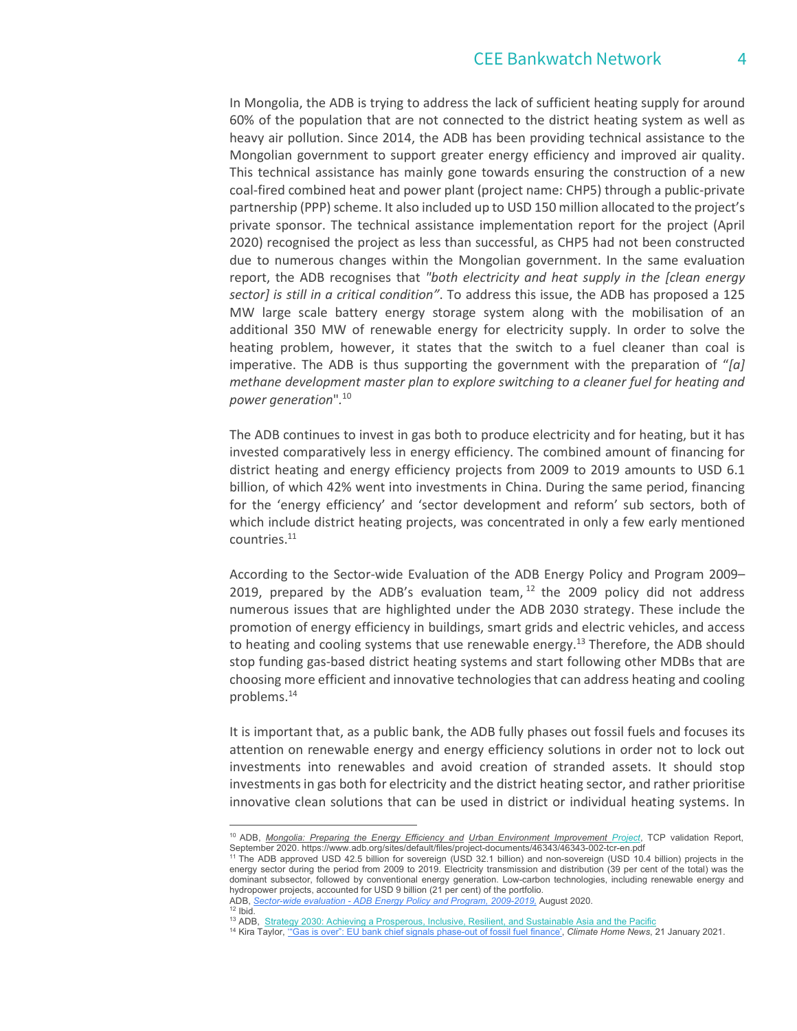In Mongolia, the ADB is trying to address the lack of sufficient heating supply for around 60% of the population that are not connected to the district heating system as well as heavy air pollution. Since 2014, the ADB has been providing technical assistance to the Mongolian government to support greater energy efficiency and improved air quality. This technical assistance has mainly gone towards ensuring the construction of a new coal-fired combined heat and power plant (project name: CHP5) through a public-private partnership (PPP) scheme. It also included up to USD 150 million allocated to the project's private sponsor. The technical assistance implementation report for the project (April 2020) recognised the project as less than successful, as CHP5 had not been constructed due to numerous changes within the Mongolian government. In the same evaluation report, the ADB recognises that "both electricity and heat supply in the [clean energy sector] is still in a critical condition". To address this issue, the ADB has proposed a 125 MW large scale battery energy storage system along with the mobilisation of an additional 350 MW of renewable energy for electricity supply. In order to solve the heating problem, however, it states that the switch to a fuel cleaner than coal is imperative. The ADB is thus supporting the government with the preparation of " $[a]$ methane development master plan to explore switching to a cleaner fuel for heating and power generation".<sup>10</sup>

The ADB continues to invest in gas both to produce electricity and for heating, but it has invested comparatively less in energy efficiency. The combined amount of financing for district heating and energy efficiency projects from 2009 to 2019 amounts to USD 6.1 billion, of which 42% went into investments in China. During the same period, financing for the 'energy efficiency' and 'sector development and reform' sub sectors, both of which include district heating projects, was concentrated in only a few early mentioned countries.<sup>11</sup>

 According to the Sector-wide Evaluation of the ADB Energy Policy and Program 2009– 2019, prepared by the ADB's evaluation team,  $^{12}$  the 2009 policy did not address numerous issues that are highlighted under the ADB 2030 strategy. These include the promotion of energy efficiency in buildings, smart grids and electric vehicles, and access to heating and cooling systems that use renewable energy.<sup>13</sup> Therefore, the ADB should stop funding gas-based district heating systems and start following other MDBs that are choosing more efficient and innovative technologies that can address heating and cooling problems.14

 It is important that, as a public bank, the ADB fully phases out fossil fuels and focuses its attention on renewable energy and energy efficiency solutions in order not to lock out investments into renewables and avoid creation of stranded assets. It should stop investments in gas both for electricity and the district heating sector, and rather prioritise innovative clean solutions that can be used in district or individual heating systems. In

<sup>&</sup>lt;sup>10</sup> ADB, *Mongolia: Preparing the Energy Efficiency and Urban Environment Improvement Project*, TCP validation Report,<br>September 2020. https://www.adb.org/sites/default/files/project-documents/46343/46343-002-tcr-en.pdf

<sup>&</sup>lt;sup>11</sup> The ADB approved USD 42.5 billion for sovereign (USD 32.1 billion) and non-sovereign (USD 10.4 billion) projects in the energy sector during the period from 2009 to 2019. Electricity transmission and distribution (39 per cent of the total) was the dominant subsector, followed by conventional energy generation. Low-carbon technologies, including renewable energy and hydropower projects, accounted for USD 9 billion (21 per cent) of the portfolio.<br>ADB, Sector-wide evaluation - ADB Energy Policy and Program, 2009-2019. August 2020.

<sup>12</sup> bid.<br><sup>12</sup> ADB, <u>Strategy 2030: Achieving a Prosperous, Inclusive, Resilient, and Sustainable Asia and the Pacific<br><sup>13</sup> Kira Taylor, <u>"Gas is over": EU bank chief signals phase-out of fossil fuel finance', *Climate Home </u></u>*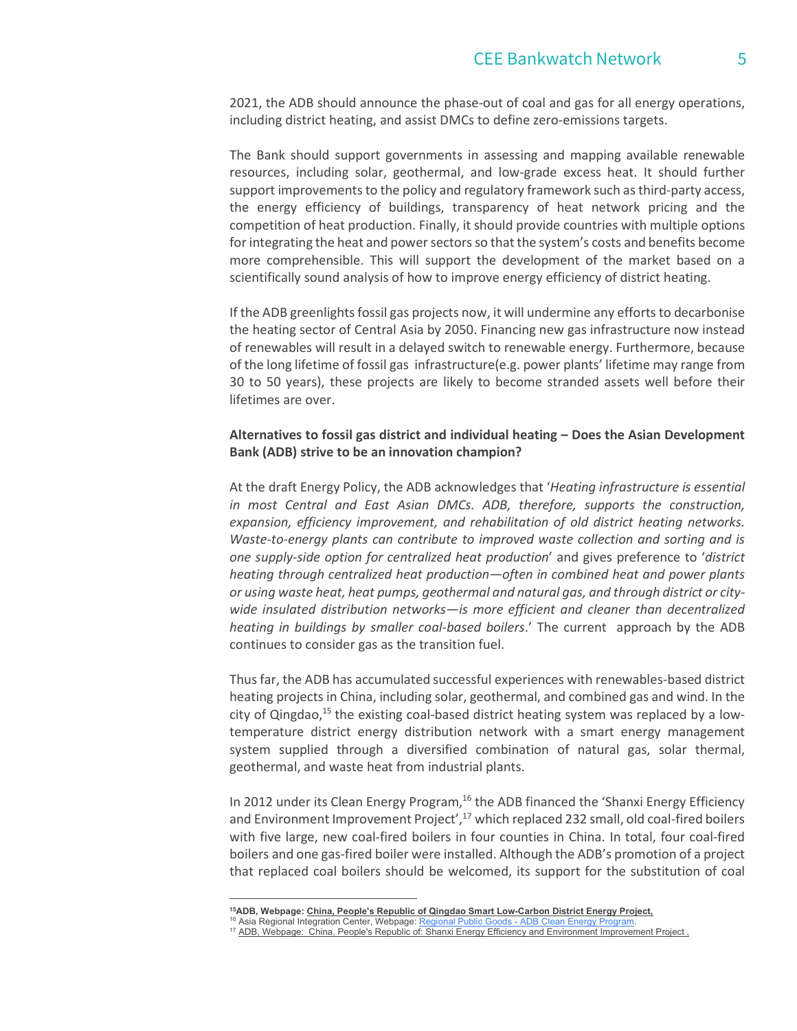2021, the ADB should announce the phase-out of coal and gas for all energy operations, including district heating, and assist DMCs to define zero-emissions targets.

The Bank should support governments in assessing and mapping available renewable resources, including solar, geothermal, and low-grade excess heat. It should further support improvements to the policy and regulatory framework such as third-party access, the energy efficiency of buildings, transparency of heat network pricing and the competition of heat production. Finally, it should provide countries with multiple options for integrating the heat and power sectors so that the system's costs and benefits become more comprehensible. This will support the development of the market based on a scientifically sound analysis of how to improve energy efficiency of district heating.

If the ADB greenlights fossil gas projects now, it will undermine any efforts to decarbonise the heating sector of Central Asia by 2050. Financing new gas infrastructure now instead of renewables will result in a delayed switch to renewable energy. Furthermore, because of the long lifetime of fossil gas infrastructure(e.g. power plants' lifetime may range from 30 to 50 years), these projects are likely to become stranded assets well before their lifetimes are over.

## Alternatives to fossil gas district and individual heating – Does the Asian Development Bank (ADB) strive to be an innovation champion?

At the draft Energy Policy, the ADB acknowledges that 'Heating infrastructure is essential in most Central and East Asian DMCs. ADB, therefore, supports the construction, expansion, efficiency improvement, and rehabilitation of old district heating networks. Waste-to-energy plants can contribute to improved waste collection and sorting and is one supply-side option for centralized heat production' and gives preference to 'district heating through centralized heat production—often in combined heat and power plants or using waste heat, heat pumps, geothermal and natural gas, and through district or citywide insulated distribution networks—is more efficient and cleaner than decentralized heating in buildings by smaller coal-based boilers.' The current approach by the ADB continues to consider gas as the transition fuel.

Thus far, the ADB has accumulated successful experiences with renewables-based district heating projects in China, including solar, geothermal, and combined gas and wind. In the city of Qingdao, $^{15}$  the existing coal-based district heating system was replaced by a lowtemperature district energy distribution network with a smart energy management system supplied through a diversified combination of natural gas, solar thermal, geothermal, and waste heat from industrial plants.

In 2012 under its Clean Energy Program,<sup>16</sup> the ADB financed the 'Shanxi Energy Efficiency and Environment Improvement Project', $17$  which replaced 232 small, old coal-fired boilers with five large, new coal-fired boilers in four counties in China. In total, four coal-fired boilers and one gas-fired boiler were installed. Although the ADB's promotion of a project that replaced coal boilers should be welcomed, its support for the substitution of coal

<sup>&</sup>lt;sup>15</sup>ADB, Webpage: *China*, People's Republic of Qingdao Smart Low-Carbon District Energy Project,<br><sup>16</sup> Asia Regional Integration Center, Webpage: Regional Public Goods - ADB Clean Energy Program.

<sup>&</sup>lt;sup>17</sup> ADB, Webpage: China, People's Republic of: Shanxi Energy Efficiency and Environment Improvement Project,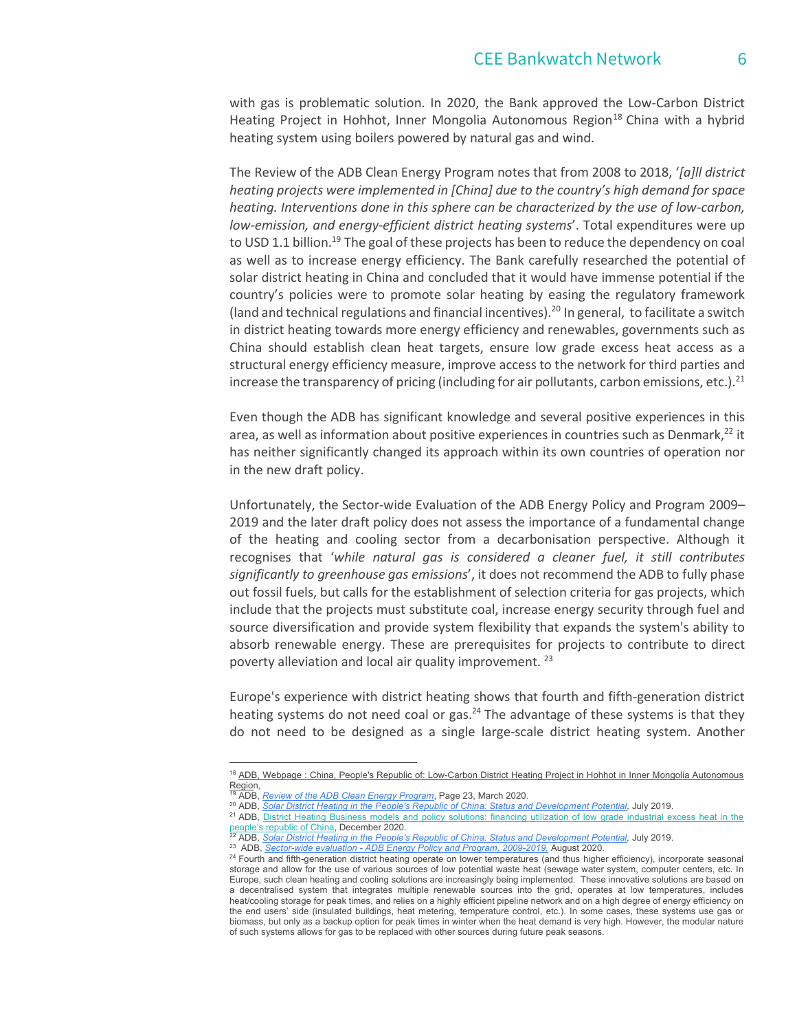with gas is problematic solution. In 2020, the Bank approved the Low-Carbon District Heating Project in Hohhot, Inner Mongolia Autonomous Region<sup>18</sup> China with a hybrid heating system using boilers powered by natural gas and wind.

 The Review of the ADB Clean Energy Program notes that from 2008 to 2018, '[a]ll district heating projects were implemented in [China] due to the country's high demand for space heating. Interventions done in this sphere can be characterized by the use of low-carbon, low-emission, and energy-efficient district heating systems'. Total expenditures were up to USD 1.1 billion.<sup>19</sup> The goal of these projects has been to reduce the dependency on coal as well as to increase energy efficiency. The Bank carefully researched the potential of solar district heating in China and concluded that it would have immense potential if the country's policies were to promote solar heating by easing the regulatory framework (land and technical regulations and financial incentives).<sup>20</sup> In general, to facilitate a switch in district heating towards more energy efficiency and renewables, governments such as China should establish clean heat targets, ensure low grade excess heat access as a structural energy efficiency measure, improve access to the network for third parties and increase the transparency of pricing (including for air pollutants, carbon emissions, etc.).<sup>21</sup>

Even though the ADB has significant knowledge and several positive experiences in this area, as well as information about positive experiences in countries such as Denmark, $^{22}$  it has neither significantly changed its approach within its own countries of operation nor in the new draft policy.

Unfortunately, the Sector-wide Evaluation of the ADB Energy Policy and Program 2009– 2019 and the later draft policy does not assess the importance of a fundamental change of the heating and cooling sector from a decarbonisation perspective. Although it recognises that 'while natural gas is considered a cleaner fuel, it still contributes significantly to greenhouse gas emissions', it does not recommend the ADB to fully phase out fossil fuels, but calls for the establishment of selection criteria for gas projects, which include that the projects must substitute coal, increase energy security through fuel and source diversification and provide system flexibility that expands the system's ability to absorb renewable energy. These are prerequisites for projects to contribute to direct poverty alleviation and local air quality improvement. 23

Europe's experience with district heating shows that fourth and fifth-generation district heating systems do not need coal or gas. $^{24}$  The advantage of these systems is that they do not need to be designed as a single large-scale district heating system. Another

<sup>&</sup>lt;sup>18</sup> ADB, Webpage : China, People's Republic of: Low-Carbon District Heating Project in Hohhot in Inner Mongolia Autonomous Region,<br><sup>19</sup> ADB, <u>Review of the ADB Clean Energy Program,</u> Page 23, March 2020.<br><sup>20</sup> ADB, <u>Solar District Heating in the People's Republic of China: Status and Development Potential, July 2019.<br><sup>21</sup> ADB, <u>District Heating</u></u>

people's republic of China, December 2020.<br><sup>22</sup> ADB, Solar District Heating in the People's Republic of China: Status and Development Potential, July 2019.<br><sup>23</sup> ADB, Sector-wide evaluation - ADB Energy Policy and Program,

storage and allow for the use of various sources of low potential waste heat (sewage water system, computer centers, etc. In Europe, such clean heating and cooling solutions are increasingly being implemented. These innovative solutions are based on a decentralised system that integrates multiple renewable sources into the grid, operates at low temperatures, includes heat/cooling storage for peak times, and relies on a highly efficient pipeline network and on a high degree of energy efficiency on the end users' side (insulated buildings, heat metering, temperature control, etc.). In some cases, these systems use gas or biomass, but only as a backup option for peak times in winter when the heat demand is very high. However, the modular nature of such systems allows for gas to be replaced with other sources during future peak seasons.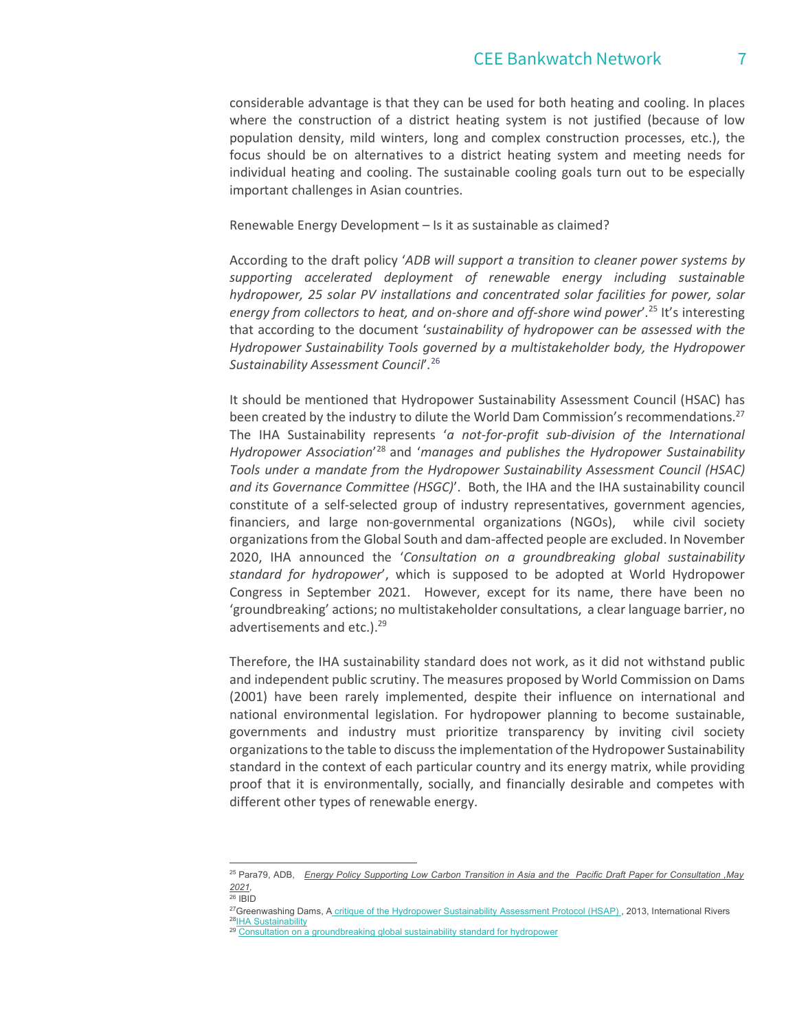considerable advantage is that they can be used for both heating and cooling. In places where the construction of a district heating system is not justified (because of low population density, mild winters, long and complex construction processes, etc.), the focus should be on alternatives to a district heating system and meeting needs for individual heating and cooling. The sustainable cooling goals turn out to be especially important challenges in Asian countries.

Renewable Energy Development – Is it as sustainable as claimed?

According to the draft policy 'ADB will support a transition to cleaner power systems by supporting accelerated deployment of renewable energy including sustainable hydropower, 25 solar PV installations and concentrated solar facilities for power, solar energy from collectors to heat, and on-shore and off-shore wind power'.<sup>25</sup> It's interesting that according to the document 'sustainability of hydropower can be assessed with the Hydropower Sustainability Tools governed by a multistakeholder body, the Hydropower Sustainability Assessment Council<sup>'</sup>.<sup>26</sup>

It should be mentioned that Hydropower Sustainability Assessment Council (HSAC) has been created by the industry to dilute the World Dam Commission's recommendations.<sup>27</sup> The IHA Sustainability represents 'a not-for-profit sub-division of the International Hydropower Association<sup>'28</sup> and 'manages and publishes the Hydropower Sustainability Tools under a mandate from the Hydropower Sustainability Assessment Council (HSAC) and its Governance Committee (HSGC)'. Both, the IHA and the IHA sustainability council constitute of a self-selected group of industry representatives, government agencies, financiers, and large non-governmental organizations (NGOs), while civil society organizations from the Global South and dam-affected people are excluded. In November 2020, IHA announced the 'Consultation on a groundbreaking global sustainability standard for hydropower', which is supposed to be adopted at World Hydropower Congress in September 2021. However, except for its name, there have been no 'groundbreaking' actions; no multistakeholder consultations, a clear language barrier, no advertisements and etc.).<sup>29</sup>

Therefore, the IHA sustainability standard does not work, as it did not withstand public and independent public scrutiny. The measures proposed by World Commission on Dams (2001) have been rarely implemented, despite their influence on international and national environmental legislation. For hydropower planning to become sustainable, governments and industry must prioritize transparency by inviting civil society organizations to the table to discuss the implementation of the Hydropower Sustainability standard in the context of each particular country and its energy matrix, while providing proof that it is environmentally, socially, and financially desirable and competes with different other types of renewable energy.

<sup>&</sup>lt;sup>25</sup> Para79, ADB, Energy Policy Supporting Low Carbon Transition in Asia and the Pacific Draft Paper for Consultation ,May  $\frac{2021}{26}$  IBID

<sup>&</sup>lt;sup>27</sup>Greenwashing Dams, A critique of the Hydropower Sustainability Assessment Protocol (HSAP), 2013, International Rivers <sup>28</sup> LHA Sustainability<br><sup>28</sup> LHA Sustainability<br><sup>29</sup> Consultation on a groundbreaking global sustai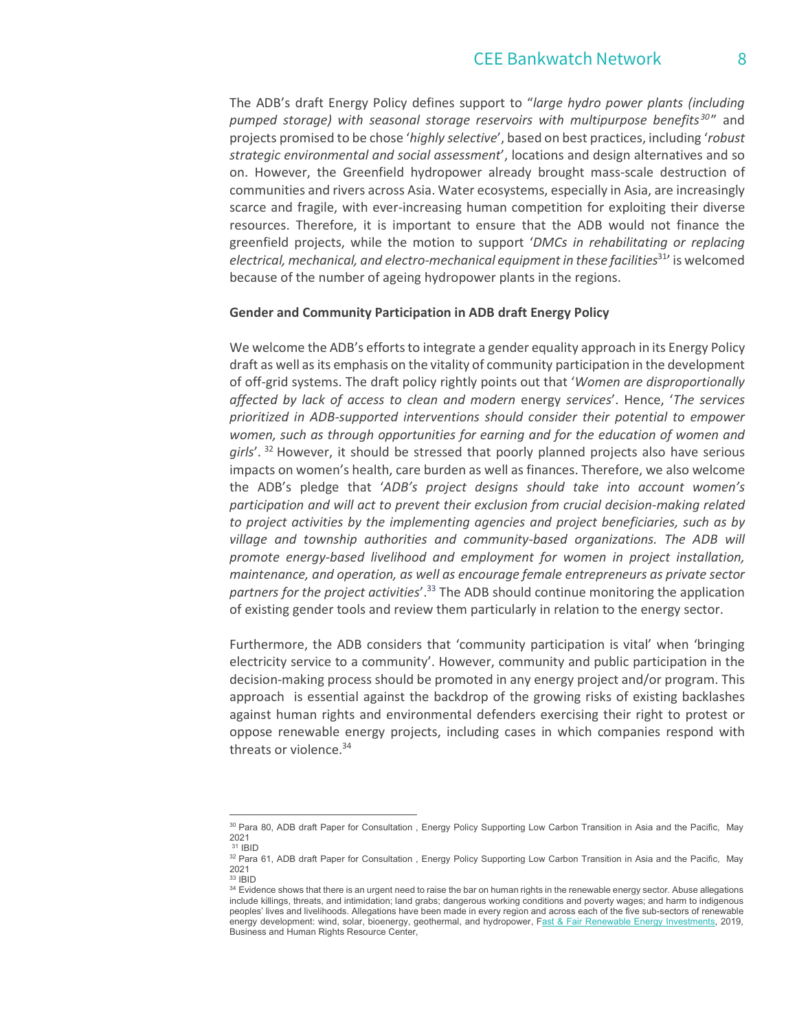# CEE Bankwatch Network 8

The ADB's draft Energy Policy defines support to "large hydro power plants (including pumped storage) with seasonal storage reservoirs with multipurpose benefits<sup>30</sup>" and projects promised to be chose 'highly selective', based on best practices, including 'robust strategic environmental and social assessment', locations and design alternatives and so on. However, the Greenfield hydropower already brought mass-scale destruction of communities and rivers across Asia. Water ecosystems, especially in Asia, are increasingly scarce and fragile, with ever-increasing human competition for exploiting their diverse resources. Therefore, it is important to ensure that the ADB would not finance the greenfield projects, while the motion to support 'DMCs in rehabilitating or replacing electrical, mechanical, and electro-mechanical equipment in these facilities<sup>31</sup>' is welcomed because of the number of ageing hydropower plants in the regions.

#### Gender and Community Participation in ADB draft Energy Policy

We welcome the ADB's efforts to integrate a gender equality approach in its Energy Policy draft as well as its emphasis on the vitality of community participation in the development of off-grid systems. The draft policy rightly points out that 'Women are disproportionally affected by lack of access to clean and modern energy services'. Hence, 'The services prioritized in ADB-supported interventions should consider their potential to empower women, such as through opportunities for earning and for the education of women and  $qirls'$ .  $32$  However, it should be stressed that poorly planned projects also have serious impacts on women's health, care burden as well as finances. Therefore, we also welcome the ADB's pledge that 'ADB's project designs should take into account women's participation and will act to prevent their exclusion from crucial decision-making related to project activities by the implementing agencies and project beneficiaries, such as by village and township authorities and community-based organizations. The ADB will promote energy-based livelihood and employment for women in project installation, maintenance, and operation, as well as encourage female entrepreneurs as private sector partners for the project activities'. $33$  The ADB should continue monitoring the application of existing gender tools and review them particularly in relation to the energy sector.

Furthermore, the ADB considers that 'community participation is vital' when 'bringing electricity service to a community'. However, community and public participation in the decision-making process should be promoted in any energy project and/or program. This approach is essential against the backdrop of the growing risks of existing backlashes against human rights and environmental defenders exercising their right to protest or oppose renewable energy projects, including cases in which companies respond with threats or violence.<sup>34</sup>

<sup>&</sup>lt;sup>30</sup> Para 80, ADB draft Paper for Consultation, Energy Policy Supporting Low Carbon Transition in Asia and the Pacific, May<br>2021

 $31$  IBID<br> $32$  Para 61, ADB draft Paper for Consultation , Energy Policy Supporting Low Carbon Transition in Asia and the Pacific, May 2021<br><sup>33</sup> IBID<br><sup>34</sup> Evidence shows that there is an urgent need to raise the bar on human rights in the renewable energy sector. Abuse allegations

include killings, threats, and intimidation; land grabs; dangerous working conditions and poverty wages; and harm to indigenous peoples' lives and livelihoods. Allegations have been made in every region and across each of the five sub-sectors of renewable energy development: wind, solar, bioenergy, geothermal, and hydropower, Fast & Fair Renewable Energy Investments, 2019, Business and Human Rights Resource Center,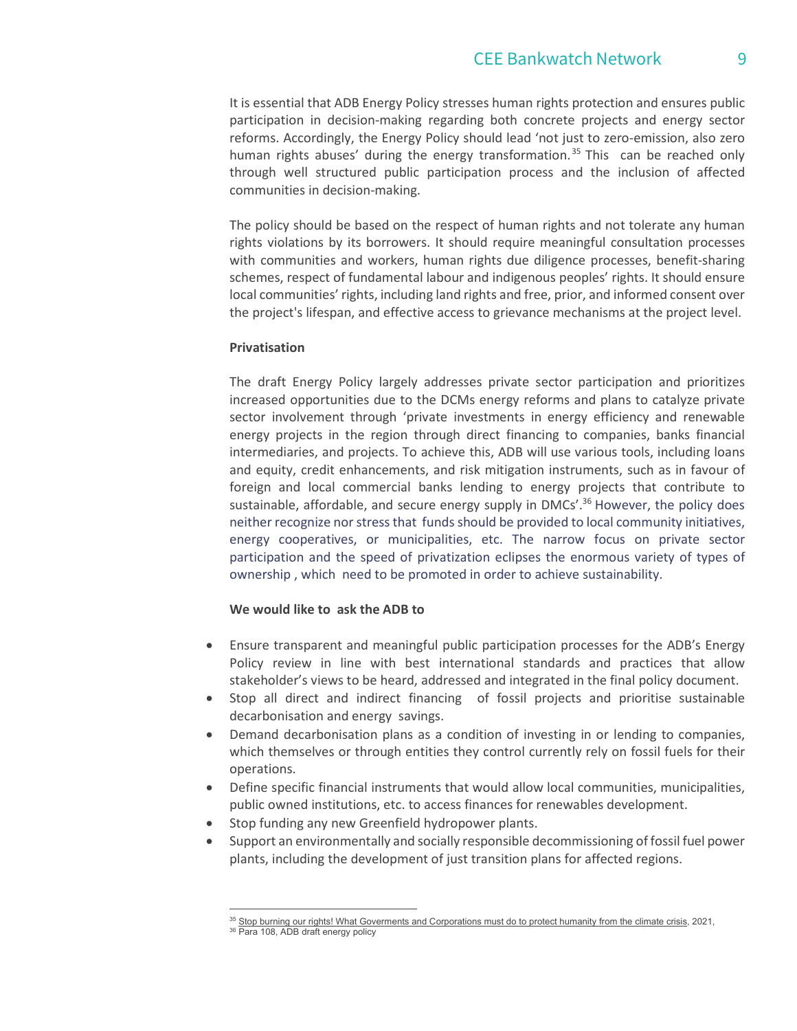# CFF Bankwatch Network 9

It is essential that ADB Energy Policy stresses human rights protection and ensures public participation in decision-making regarding both concrete projects and energy sector reforms. Accordingly, the Energy Policy should lead 'not just to zero-emission, also zero human rights abuses' during the energy transformation.<sup>35</sup> This can be reached only through well structured public participation process and the inclusion of affected communities in decision-making.

The policy should be based on the respect of human rights and not tolerate any human rights violations by its borrowers. It should require meaningful consultation processes with communities and workers, human rights due diligence processes, benefit-sharing schemes, respect of fundamental labour and indigenous peoples' rights. It should ensure local communities' rights, including land rights and free, prior, and informed consent over the project's lifespan, and effective access to grievance mechanisms at the project level.

### Privatisation

The draft Energy Policy largely addresses private sector participation and prioritizes increased opportunities due to the DCMs energy reforms and plans to catalyze private sector involvement through 'private investments in energy efficiency and renewable energy projects in the region through direct financing to companies, banks financial intermediaries, and projects. To achieve this, ADB will use various tools, including loans and equity, credit enhancements, and risk mitigation instruments, such as in favour of foreign and local commercial banks lending to energy projects that contribute to sustainable, affordable, and secure energy supply in DMCs'.<sup>36</sup> However, the policy does neither recognize nor stress that funds should be provided to local community initiatives, energy cooperatives, or municipalities, etc. The narrow focus on private sector participation and the speed of privatization eclipses the enormous variety of types of ownership , which need to be promoted in order to achieve sustainability.

### We would like to ask the ADB to

- Ensure transparent and meaningful public participation processes for the ADB's Energy Policy review in line with best international standards and practices that allow stakeholder's views to be heard, addressed and integrated in the final policy document.
- Stop all direct and indirect financing of fossil projects and prioritise sustainable decarbonisation and energy savings.
- Demand decarbonisation plans as a condition of investing in or lending to companies, which themselves or through entities they control currently rely on fossil fuels for their operations.
- Define specific financial instruments that would allow local communities, municipalities, public owned institutions, etc. to access finances for renewables development.
- Stop funding any new Greenfield hydropower plants.
- Support an environmentally and socially responsible decommissioning of fossil fuel power plants, including the development of just transition plans for affected regions.

 $35$  Stop burning our rights! What Goverments and Corporations must do to protect humanity from the climate crisis, 2021,  $36$  Para 108, ADB draft energy policy